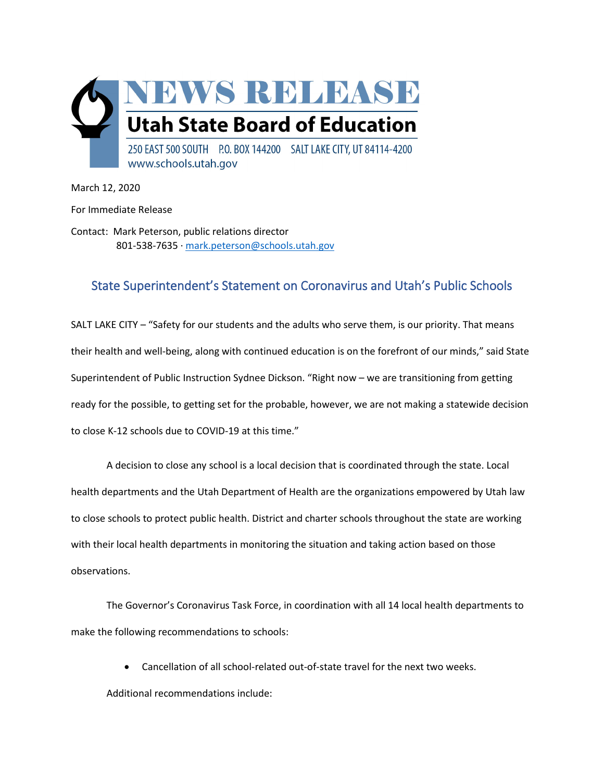

March 12, 2020

For Immediate Release

Contact: Mark Peterson, public relations director 801-538-7635 ∙ [mark.peterson@schools.utah.gov](mailto:mark.peterson@schools.utah.gov) 

## State Superintendent's Statement on Coronavirus and Utah's Public Schools

SALT LAKE CITY – "Safety for our students and the adults who serve them, is our priority. That means their health and well-being, along with continued education is on the forefront of our minds," said State Superintendent of Public Instruction Sydnee Dickson. "Right now – we are transitioning from getting ready for the possible, to getting set for the probable, however, we are not making a statewide decision to close K-12 schools due to COVID-19 at this time."

A decision to close any school is a local decision that is coordinated through the state. Local health departments and the Utah Department of Health are the organizations empowered by Utah law to close schools to protect public health. District and charter schools throughout the state are working with their local health departments in monitoring the situation and taking action based on those observations.

The Governor's Coronavirus Task Force, in coordination with all 14 local health departments to make the following recommendations to schools:

• Cancellation of all school-related out-of-state travel for the next two weeks. Additional recommendations include: